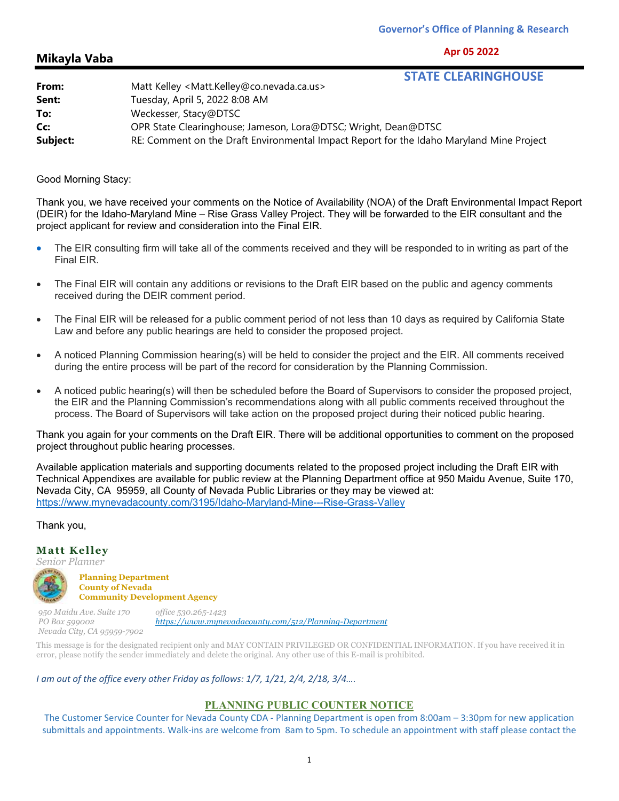**Apr 05 2022**

## **Mikayla Vaba**

# **STATE CLEARINGHOUSE**

| From:    | -------------------------------------<br>Matt Kelley <matt.kelley@co.nevada.ca.us></matt.kelley@co.nevada.ca.us> |
|----------|------------------------------------------------------------------------------------------------------------------|
| Sent:    | Tuesday, April 5, 2022 8:08 AM                                                                                   |
| To:      | Weckesser, Stacy@DTSC                                                                                            |
| Cc:      | OPR State Clearinghouse; Jameson, Lora@DTSC; Wright, Dean@DTSC                                                   |
| Subject: | RE: Comment on the Draft Environmental Impact Report for the Idaho Maryland Mine Project                         |

#### Good Morning Stacy:

Thank you, we have received your comments on the Notice of Availability (NOA) of the Draft Environmental Impact Report (DEIR) for the Idaho-Maryland Mine – Rise Grass Valley Project. They will be forwarded to the EIR consultant and the project applicant for review and consideration into the Final EIR.

- The EIR consulting firm will take all of the comments received and they will be responded to in writing as part of the Final EIR.
- The Final EIR will contain any additions or revisions to the Draft EIR based on the public and agency comments received during the DEIR comment period.
- The Final EIR will be released for a public comment period of not less than 10 days as required by California State Law and before any public hearings are held to consider the proposed project.
- A noticed Planning Commission hearing(s) will be held to consider the project and the EIR. All comments received during the entire process will be part of the record for consideration by the Planning Commission.
- A noticed public hearing(s) will then be scheduled before the Board of Supervisors to consider the proposed project, the EIR and the Planning Commission's recommendations along with all public comments received throughout the process. The Board of Supervisors will take action on the proposed project during their noticed public hearing.

Thank you again for your comments on the Draft EIR. There will be additional opportunities to comment on the proposed project throughout public hearing processes.

Available application materials and supporting documents related to the proposed project including the Draft EIR with Technical Appendixes are available for public review at the Planning Department office at 950 Maidu Avenue, Suite 170, Nevada City, CA 95959, all County of Nevada Public Libraries or they may be viewed at: https://www.mynevadacounty.com/3195/Idaho-Maryland-Mine---Rise-Grass-Valley

## Thank you,

#### **Matt Kelley**

*Senior Planner* 

**Planning Department County of Nevada Community Development Agency** 

*950 Maidu Ave. Suite 170 PO Box 599002 Nevada City, CA 95959-7902 office 530.265-1423 https://www.mynevadacounty.com/512/Planning-Department* 

This message is for the designated recipient only and MAY CONTAIN PRIVILEGED OR CONFIDENTIAL INFORMATION. If you have received it in error, please notify the sender immediately and delete the original. Any other use of this E-mail is prohibited.

## *I am out of the office every other Friday as follows: 1/7, 1/21, 2/4, 2/18, 3/4….*

## **PLANNING PUBLIC COUNTER NOTICE**

The Customer Service Counter for Nevada County CDA ‐ Planning Department is open from 8:00am – 3:30pm for new application submittals and appointments. Walk‐ins are welcome from 8am to 5pm. To schedule an appointment with staff please contact the